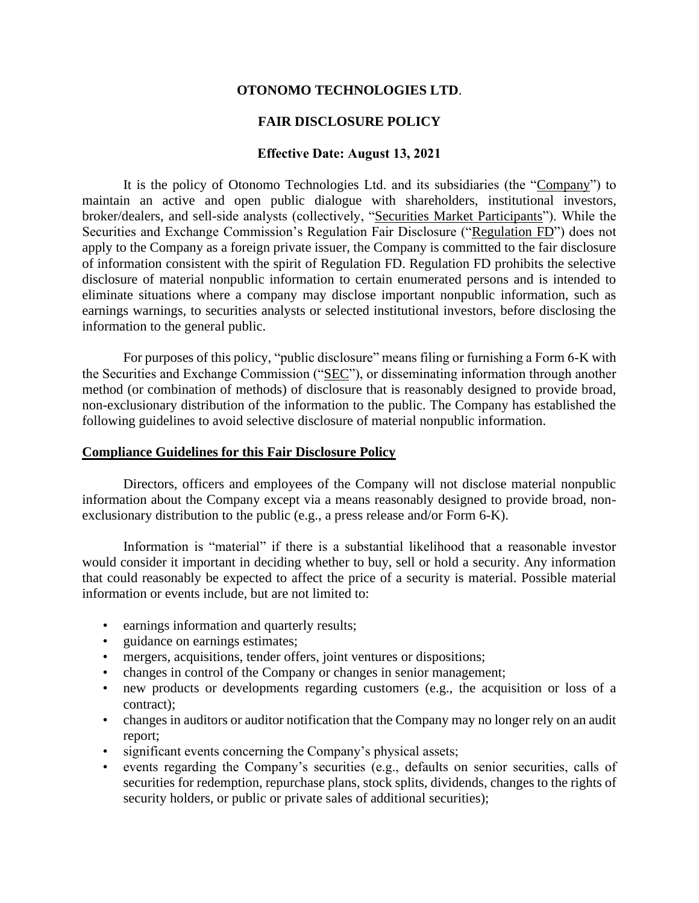#### **OTONOMO TECHNOLOGIES LTD**.

#### **FAIR DISCLOSURE POLICY**

#### **Effective Date: August 13, 2021**

It is the policy of Otonomo Technologies Ltd. and its subsidiaries (the "Company") to maintain an active and open public dialogue with shareholders, institutional investors, broker/dealers, and sell-side analysts (collectively, "Securities Market Participants"). While the Securities and Exchange Commission's Regulation Fair Disclosure ("Regulation FD") does not apply to the Company as a foreign private issuer, the Company is committed to the fair disclosure of information consistent with the spirit of Regulation FD. Regulation FD prohibits the selective disclosure of material nonpublic information to certain enumerated persons and is intended to eliminate situations where a company may disclose important nonpublic information, such as earnings warnings, to securities analysts or selected institutional investors, before disclosing the information to the general public.

For purposes of this policy, "public disclosure" means filing or furnishing a Form 6-K with the Securities and Exchange Commission ("SEC"), or disseminating information through another method (or combination of methods) of disclosure that is reasonably designed to provide broad, non-exclusionary distribution of the information to the public. The Company has established the following guidelines to avoid selective disclosure of material nonpublic information.

#### **Compliance Guidelines for this Fair Disclosure Policy**

Directors, officers and employees of the Company will not disclose material nonpublic information about the Company except via a means reasonably designed to provide broad, nonexclusionary distribution to the public (e.g., a press release and/or Form 6-K).

Information is "material" if there is a substantial likelihood that a reasonable investor would consider it important in deciding whether to buy, sell or hold a security. Any information that could reasonably be expected to affect the price of a security is material. Possible material information or events include, but are not limited to:

- earnings information and quarterly results;
- guidance on earnings estimates;
- mergers, acquisitions, tender offers, joint ventures or dispositions;
- changes in control of the Company or changes in senior management;
- new products or developments regarding customers (e.g., the acquisition or loss of a contract);
- changes in auditors or auditor notification that the Company may no longer rely on an audit report;
- significant events concerning the Company's physical assets;
- events regarding the Company's securities (e.g., defaults on senior securities, calls of securities for redemption, repurchase plans, stock splits, dividends, changes to the rights of security holders, or public or private sales of additional securities);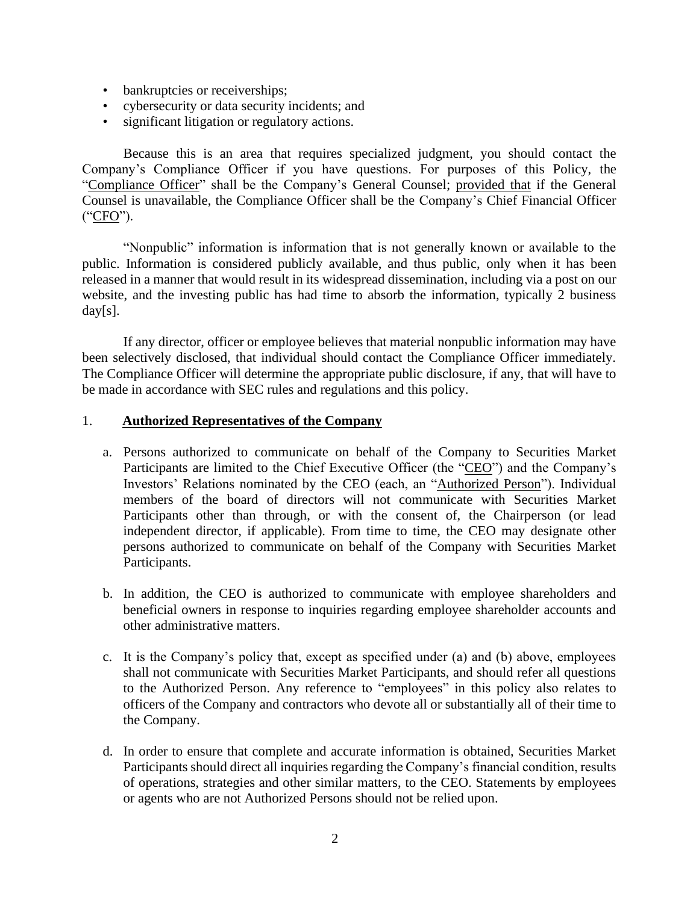- bankruptcies or receiverships;
- cybersecurity or data security incidents; and
- significant litigation or regulatory actions.

Because this is an area that requires specialized judgment, you should contact the Company's Compliance Officer if you have questions. For purposes of this Policy, the "Compliance Officer" shall be the Company's General Counsel; provided that if the General Counsel is unavailable, the Compliance Officer shall be the Company's Chief Financial Officer ("CFO").

"Nonpublic" information is information that is not generally known or available to the public. Information is considered publicly available, and thus public, only when it has been released in a manner that would result in its widespread dissemination, including via a post on our website, and the investing public has had time to absorb the information, typically 2 business day[s].

If any director, officer or employee believes that material nonpublic information may have been selectively disclosed, that individual should contact the Compliance Officer immediately. The Compliance Officer will determine the appropriate public disclosure, if any, that will have to be made in accordance with SEC rules and regulations and this policy.

#### 1. **Authorized Representatives of the Company**

- a. Persons authorized to communicate on behalf of the Company to Securities Market Participants are limited to the Chief Executive Officer (the "CEO") and the Company's Investors' Relations nominated by the CEO (each, an "Authorized Person"). Individual members of the board of directors will not communicate with Securities Market Participants other than through, or with the consent of, the Chairperson (or lead independent director, if applicable). From time to time, the CEO may designate other persons authorized to communicate on behalf of the Company with Securities Market Participants.
- b. In addition, the CEO is authorized to communicate with employee shareholders and beneficial owners in response to inquiries regarding employee shareholder accounts and other administrative matters.
- c. It is the Company's policy that, except as specified under (a) and (b) above, employees shall not communicate with Securities Market Participants, and should refer all questions to the Authorized Person. Any reference to "employees" in this policy also relates to officers of the Company and contractors who devote all or substantially all of their time to the Company.
- d. In order to ensure that complete and accurate information is obtained, Securities Market Participants should direct all inquiries regarding the Company's financial condition, results of operations, strategies and other similar matters, to the CEO. Statements by employees or agents who are not Authorized Persons should not be relied upon.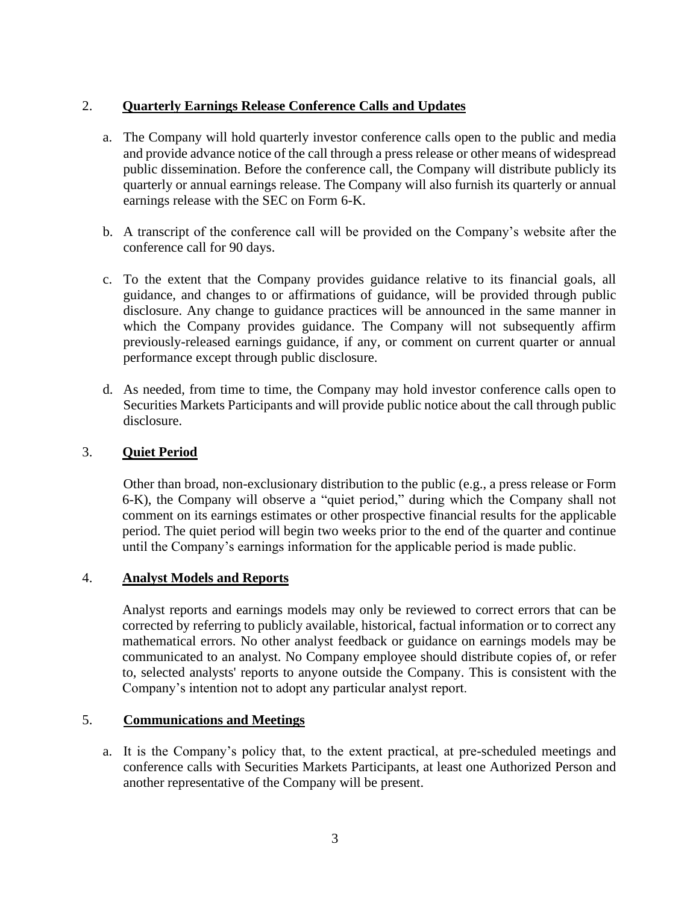# 2. **Quarterly Earnings Release Conference Calls and Updates**

- a. The Company will hold quarterly investor conference calls open to the public and media and provide advance notice of the call through a press release or other means of widespread public dissemination. Before the conference call, the Company will distribute publicly its quarterly or annual earnings release. The Company will also furnish its quarterly or annual earnings release with the SEC on Form 6-K.
- b. A transcript of the conference call will be provided on the Company's website after the conference call for 90 days.
- c. To the extent that the Company provides guidance relative to its financial goals, all guidance, and changes to or affirmations of guidance, will be provided through public disclosure. Any change to guidance practices will be announced in the same manner in which the Company provides guidance. The Company will not subsequently affirm previously-released earnings guidance, if any, or comment on current quarter or annual performance except through public disclosure.
- d. As needed, from time to time, the Company may hold investor conference calls open to Securities Markets Participants and will provide public notice about the call through public disclosure.

### 3. **Quiet Period**

Other than broad, non-exclusionary distribution to the public (e.g., a press release or Form 6-K), the Company will observe a "quiet period," during which the Company shall not comment on its earnings estimates or other prospective financial results for the applicable period. The quiet period will begin two weeks prior to the end of the quarter and continue until the Company's earnings information for the applicable period is made public.

#### 4. **Analyst Models and Reports**

Analyst reports and earnings models may only be reviewed to correct errors that can be corrected by referring to publicly available, historical, factual information or to correct any mathematical errors. No other analyst feedback or guidance on earnings models may be communicated to an analyst. No Company employee should distribute copies of, or refer to, selected analysts' reports to anyone outside the Company. This is consistent with the Company's intention not to adopt any particular analyst report.

#### 5. **Communications and Meetings**

a. It is the Company's policy that, to the extent practical, at pre-scheduled meetings and conference calls with Securities Markets Participants, at least one Authorized Person and another representative of the Company will be present.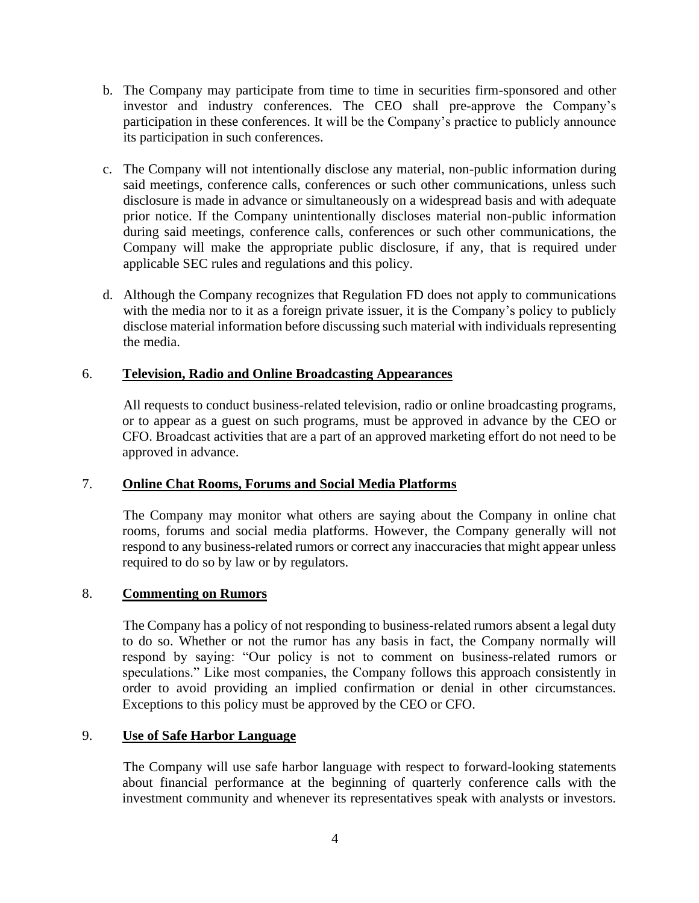- b. The Company may participate from time to time in securities firm-sponsored and other investor and industry conferences. The CEO shall pre-approve the Company's participation in these conferences. It will be the Company's practice to publicly announce its participation in such conferences.
- c. The Company will not intentionally disclose any material, non-public information during said meetings, conference calls, conferences or such other communications, unless such disclosure is made in advance or simultaneously on a widespread basis and with adequate prior notice. If the Company unintentionally discloses material non-public information during said meetings, conference calls, conferences or such other communications, the Company will make the appropriate public disclosure, if any, that is required under applicable SEC rules and regulations and this policy.
- d. Although the Company recognizes that Regulation FD does not apply to communications with the media nor to it as a foreign private issuer, it is the Company's policy to publicly disclose material information before discussing such material with individuals representing the media.

# 6. **Television, Radio and Online Broadcasting Appearances**

All requests to conduct business-related television, radio or online broadcasting programs, or to appear as a guest on such programs, must be approved in advance by the CEO or CFO. Broadcast activities that are a part of an approved marketing effort do not need to be approved in advance.

# 7. **Online Chat Rooms, Forums and Social Media Platforms**

The Company may monitor what others are saying about the Company in online chat rooms, forums and social media platforms. However, the Company generally will not respond to any business-related rumors or correct any inaccuracies that might appear unless required to do so by law or by regulators.

#### 8. **Commenting on Rumors**

The Company has a policy of not responding to business-related rumors absent a legal duty to do so. Whether or not the rumor has any basis in fact, the Company normally will respond by saying: "Our policy is not to comment on business-related rumors or speculations." Like most companies, the Company follows this approach consistently in order to avoid providing an implied confirmation or denial in other circumstances. Exceptions to this policy must be approved by the CEO or CFO.

### 9. **Use of Safe Harbor Language**

The Company will use safe harbor language with respect to forward-looking statements about financial performance at the beginning of quarterly conference calls with the investment community and whenever its representatives speak with analysts or investors.